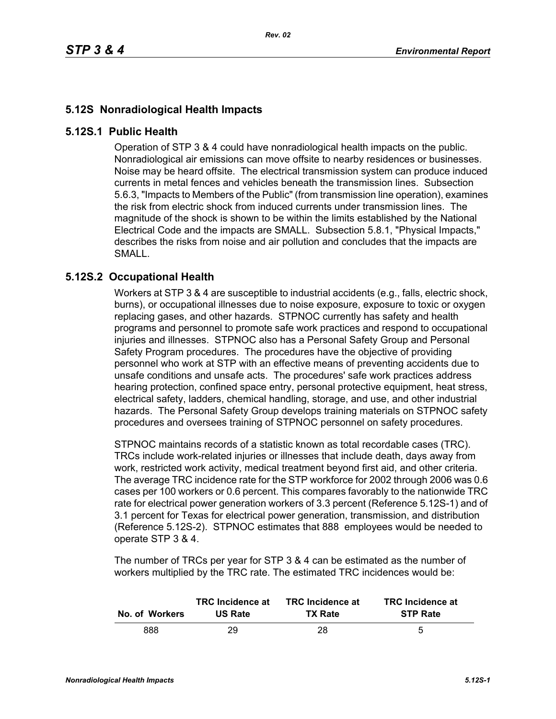## **5.12S Nonradiological Health Impacts**

## **5.12S.1 Public Health**

Operation of STP 3 & 4 could have nonradiological health impacts on the public. Nonradiological air emissions can move offsite to nearby residences or businesses. Noise may be heard offsite. The electrical transmission system can produce induced currents in metal fences and vehicles beneath the transmission lines. Subsection 5.6.3, "Impacts to Members of the Public" (from transmission line operation), examines the risk from electric shock from induced currents under transmission lines. The magnitude of the shock is shown to be within the limits established by the National Electrical Code and the impacts are SMALL. Subsection 5.8.1, "Physical Impacts," describes the risks from noise and air pollution and concludes that the impacts are SMALL.

## **5.12S.2 Occupational Health**

Workers at STP 3 & 4 are susceptible to industrial accidents (e.g., falls, electric shock, burns), or occupational illnesses due to noise exposure, exposure to toxic or oxygen replacing gases, and other hazards. STPNOC currently has safety and health programs and personnel to promote safe work practices and respond to occupational injuries and illnesses. STPNOC also has a Personal Safety Group and Personal Safety Program procedures. The procedures have the objective of providing personnel who work at STP with an effective means of preventing accidents due to unsafe conditions and unsafe acts. The procedures' safe work practices address hearing protection, confined space entry, personal protective equipment, heat stress, electrical safety, ladders, chemical handling, storage, and use, and other industrial hazards. The Personal Safety Group develops training materials on STPNOC safety procedures and oversees training of STPNOC personnel on safety procedures.

STPNOC maintains records of a statistic known as total recordable cases (TRC). TRCs include work-related injuries or illnesses that include death, days away from work, restricted work activity, medical treatment beyond first aid, and other criteria. The average TRC incidence rate for the STP workforce for 2002 through 2006 was 0.6 cases per 100 workers or 0.6 percent. This compares favorably to the nationwide TRC rate for electrical power generation workers of 3.3 percent (Reference 5.12S-1) and of 3.1 percent for Texas for electrical power generation, transmission, and distribution (Reference 5.12S-2). STPNOC estimates that 888 employees would be needed to operate STP 3 & 4.

The number of TRCs per year for STP 3 & 4 can be estimated as the number of workers multiplied by the TRC rate. The estimated TRC incidences would be:

| No. of Workers | <b>TRC</b> Incidence at | <b>TRC</b> Incidence at | <b>TRC</b> Incidence at |
|----------------|-------------------------|-------------------------|-------------------------|
|                | <b>US Rate</b>          | <b>TX Rate</b>          | <b>STP Rate</b>         |
| 888            | 29                      | 28                      | 5                       |